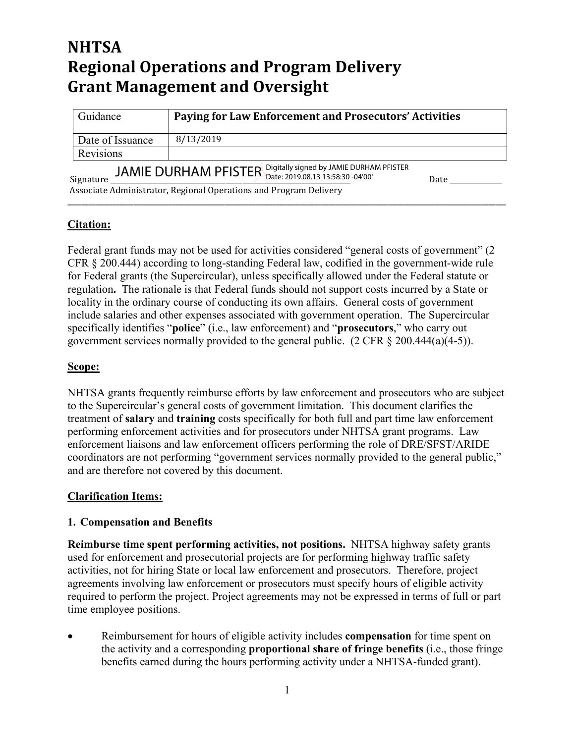# **NHTSA Regional Operations and Program Delivery Grant Management and Oversight**

| Guidance                                                               | Paying for Law Enforcement and Prosecutors' Activities |
|------------------------------------------------------------------------|--------------------------------------------------------|
| Date of Issuance                                                       | 8/13/2019                                              |
| Revisions                                                              |                                                        |
| LA MALE, DU LOU LA MA DELCTED Digitally signed by JAMIE DURHAM PFISTER |                                                        |

**\_\_\_\_\_\_\_\_\_\_\_\_\_\_\_\_\_\_\_\_\_\_\_\_\_\_\_\_\_\_\_\_\_\_\_\_\_\_\_\_\_\_\_\_\_\_\_\_\_\_\_\_\_\_\_\_\_\_\_\_\_\_\_\_\_\_\_\_\_\_\_\_\_\_\_\_\_\_\_\_\_\_\_\_\_\_\_\_\_\_\_\_\_\_\_\_\_\_\_\_\_\_\_\_\_\_\_\_\_\_\_\_\_\_\_\_\_\_\_\_\_\_\_\_\_\_**

Signature \_\_\_\_\_\_\_\_\_\_\_\_\_\_\_\_\_\_\_\_\_\_\_\_\_\_\_\_\_\_\_\_\_\_\_\_\_\_\_\_\_\_\_\_\_\_\_\_\_\_\_\_\_\_\_\_\_\_\_\_\_\_\_\_\_\_\_\_\_ Date \_\_\_\_\_\_\_\_\_\_\_\_\_\_\_ JAMIE DURHAM PFISTER Digitally signed by JAMIE DURHAM PFISTER Date: 2019.08.13 13:58:30 -04'00'

Associate Administrator, Regional Operations and Program Delivery

### **Citation:**

Federal grant funds may not be used for activities considered "general costs of government" (2 CFR § 200.444) according to long-standing Federal law, codified in the government-wide rule for Federal grants (the Supercircular), unless specifically allowed under the Federal statute or regulation**.** The rationale is that Federal funds should not support costs incurred by a State or locality in the ordinary course of conducting its own affairs. General costs of government include salaries and other expenses associated with government operation. The Supercircular specifically identifies "**police**" (i.e., law enforcement) and "**prosecutors**," who carry out government services normally provided to the general public.  $(2 \text{ CFR } \S 200.444(a)(4-5))$ .

## **Scope:**

NHTSA grants frequently reimburse efforts by law enforcement and prosecutors who are subject to the Supercircular's general costs of government limitation. This document clarifies the treatment of **salary** and **training** costs specifically for both full and part time law enforcement performing enforcement activities and for prosecutors under NHTSA grant programs. Law enforcement liaisons and law enforcement officers performing the role of DRE/SFST/ARIDE coordinators are not performing "government services normally provided to the general public," and are therefore not covered by this document.

### **Clarification Items:**

### **1. Compensation and Benefits**

**Reimburse time spent performing activities, not positions.** NHTSA highway safety grants used for enforcement and prosecutorial projects are for performing highway traffic safety activities, not for hiring State or local law enforcement and prosecutors. Therefore, project agreements involving law enforcement or prosecutors must specify hours of eligible activity required to perform the project. Project agreements may not be expressed in terms of full or part time employee positions.

• Reimbursement for hours of eligible activity includes **compensation** for time spent on the activity and a corresponding **proportional share of fringe benefits** (i.e., those fringe benefits earned during the hours performing activity under a NHTSA-funded grant).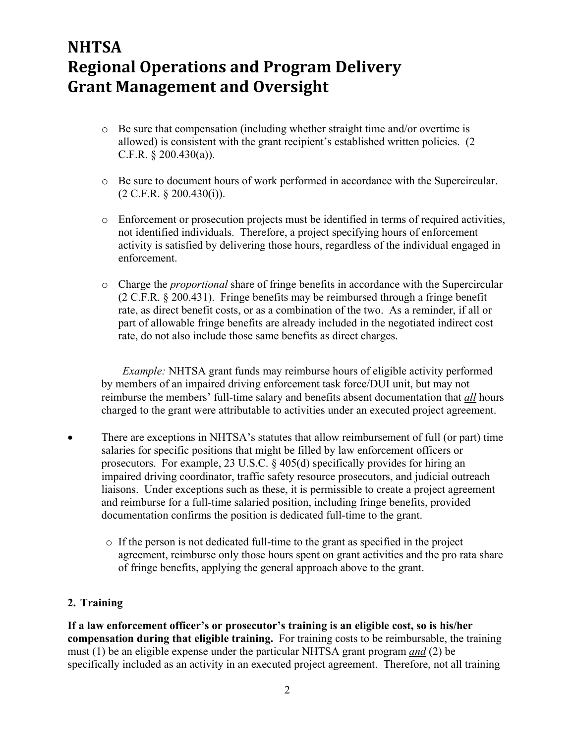## **NHTSA Regional Operations and Program Delivery Grant Management and Oversight**

- o Be sure that compensation (including whether straight time and/or overtime is allowed) is consistent with the grant recipient's established written policies. (2 C.F.R. § 200.430(a)).
- o Be sure to document hours of work performed in accordance with the Supercircular. (2 C.F.R. § 200.430(i)).
- o Enforcement or prosecution projects must be identified in terms of required activities, not identified individuals. Therefore, a project specifying hours of enforcement activity is satisfied by delivering those hours, regardless of the individual engaged in enforcement.
- o Charge the *proportional* share of fringe benefits in accordance with the Supercircular (2 C.F.R. § 200.431). Fringe benefits may be reimbursed through a fringe benefit rate, as direct benefit costs, or as a combination of the two. As a reminder, if all or part of allowable fringe benefits are already included in the negotiated indirect cost rate, do not also include those same benefits as direct charges.

*Example:* NHTSA grant funds may reimburse hours of eligible activity performed by members of an impaired driving enforcement task force/DUI unit, but may not reimburse the members' full-time salary and benefits absent documentation that *all* hours charged to the grant were attributable to activities under an executed project agreement.

- There are exceptions in NHTSA's statures that allow reimbursement of full (or part) time salaries for specific positions that might be filled by law enforcement officers or prosecutors. For example, 23 U.S.C. § 405(d) specifically provides for hiring an impaired driving coordinator, traffic safety resource prosecutors, and judicial outreach liaisons. Under exceptions such as these, it is permissible to create a project agreement and reimburse for a full-time salaried position, including fringe benefits, provided documentation confirms the position is dedicated full-time to the grant.
	- o If the person is not dedicated full-time to the grant as specified in the project agreement, reimburse only those hours spent on grant activities and the pro rata share of fringe benefits, applying the general approach above to the grant.

### **2. Training**

**If a law enforcement officer's or prosecutor's training is an eligible cost, so is his/her compensation during that eligible training.** For training costs to be reimbursable, the training must (1) be an eligible expense under the particular NHTSA grant program *and* (2) be specifically included as an activity in an executed project agreement. Therefore, not all training